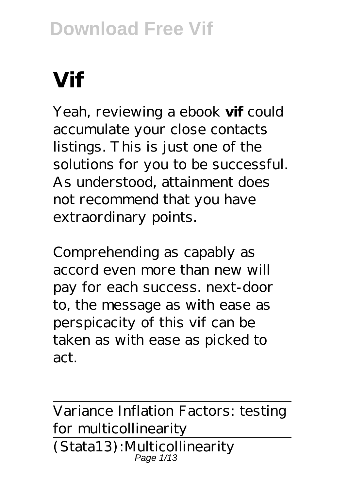# **Vif**

Yeah, reviewing a ebook **vif** could accumulate your close contacts listings. This is just one of the solutions for you to be successful. As understood, attainment does not recommend that you have extraordinary points.

Comprehending as capably as accord even more than new will pay for each success. next-door to, the message as with ease as perspicacity of this vif can be taken as with ease as picked to act.

Variance Inflation Factors: testing for multicollinearity (Stata13):Multicollinearity Page 1/13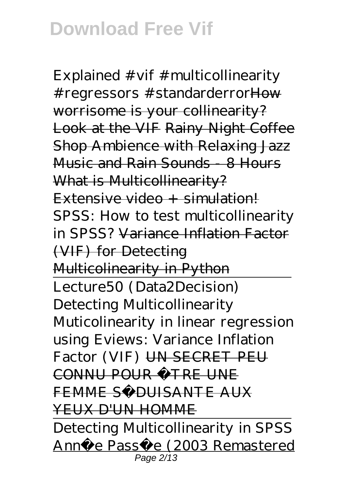Explained #vif #multicollinearity # regressors # standarderror How worrisome is your collinearity? Look at the VIF Rainy Night Coffee Shop Ambience with Relaxing Jazz Music and Rain Sounds - 8 Hours What is Multicollinearity?  $Extensive video + simulation!$ *SPSS: How to test multicollinearity in SPSS?* Variance Inflation Factor (VIF) for Detecting Multicolinearity in Python Lecture50 (Data2Decision) Detecting Multicollinearity *Muticolinearity in linear regression using Eviews: Variance Inflation Factor (VIF)* UN SECRET PEU CONNU POUR ÊTRE UNE FEMME SÉDUISANTE AUX YEUX D'UN HOMME Detecting Multicollinearity in SPSS

Anné e Passé e (2003 Remastered Page 2/13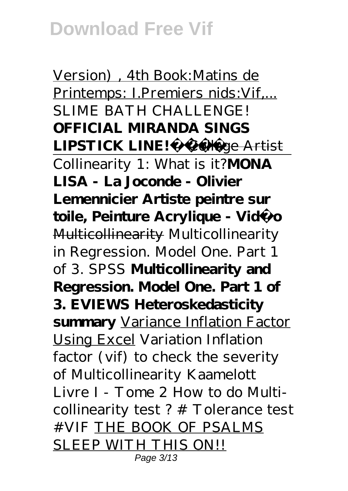Version) , 4th Book:Matins de Printemps: I.Premiers nids:Vif,... *SLIME BATH CHALLENGE!* **OFFICIAL MIRANDA SINGS LIPSTICK LINE!** Collage Artist Collinearity 1: What is it?**MONA LISA - La Joconde - Olivier Lemennicier Artiste peintre sur toile, Peinture Acrylique - Vidéo** Multicollinearity *Multicollinearity in Regression. Model One. Part 1 of 3. SPSS* **Multicollinearity and Regression. Model One. Part 1 of 3. EVIEWS Heteroskedasticity summary** Variance Inflation Factor Using Excel *Variation Inflation factor (vif) to check the severity of Multicollinearity Kaamelott Livre I - Tome 2 How to do Multicollinearity test ? # Tolerance test #VIF* THE BOOK OF PSALMS SLEEP WITH THIS ON!! Page 3/13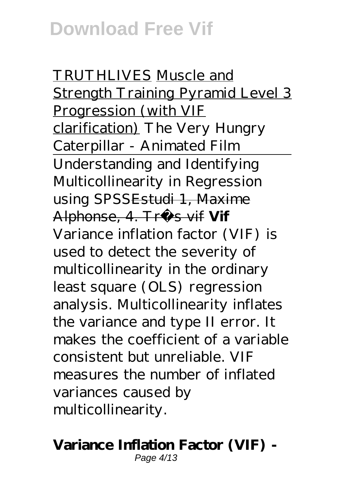TRUTHLIVES Muscle and Strength Training Pyramid Level 3 Progression (with VIF clarification) The Very Hungry Caterpillar - Animated Film Understanding and Identifying Multicollinearity in Regression using SPSS<del>Estudi 1, Maxime</del> Alphonse, 4. Très vif **Vif** Variance inflation factor (VIF) is used to detect the severity of multicollinearity in the ordinary least square (OLS) regression analysis. Multicollinearity inflates the variance and type II error. It makes the coefficient of a variable consistent but unreliable. VIF measures the number of inflated variances caused by multicollinearity.

#### **Variance Inflation Factor (VIF) -** Page 4/13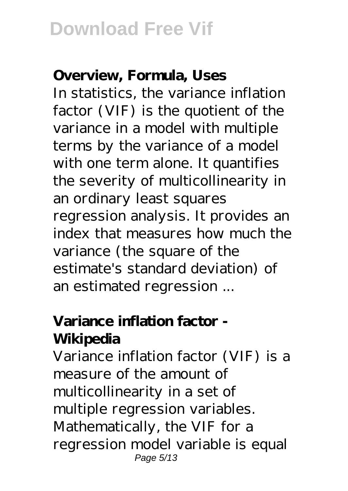#### **Overview, Formula, Uses**

In statistics, the variance inflation factor (VIF) is the quotient of the variance in a model with multiple terms by the variance of a model with one term alone. It quantifies the severity of multicollinearity in an ordinary least squares regression analysis. It provides an index that measures how much the variance (the square of the estimate's standard deviation) of an estimated regression ...

### **Variance inflation factor - Wikipedia**

Variance inflation factor (VIF) is a measure of the amount of multicollinearity in a set of multiple regression variables. Mathematically, the VIF for a regression model variable is equal Page 5/13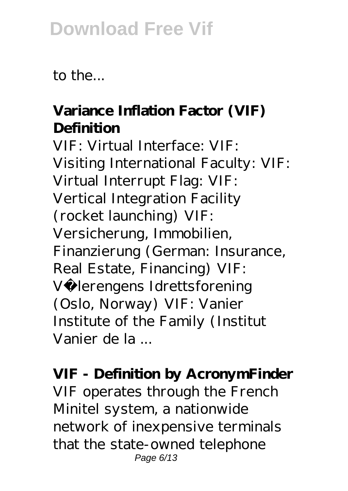to the...

### **Variance Inflation Factor (VIF) Definition**

VIF: Virtual Interface: VIF: Visiting International Faculty: VIF: Virtual Interrupt Flag: VIF: Vertical Integration Facility (rocket launching) VIF: Versicherung, Immobilien, Finanzierung (German: Insurance, Real Estate, Financing) VIF: Vå lerengens Idrettsforening (Oslo, Norway) VIF: Vanier Institute of the Family (Institut Vanier de la ...

#### **VIF - Definition by AcronymFinder**

VIF operates through the French Minitel system, a nationwide network of inexpensive terminals that the state-owned telephone Page 6/13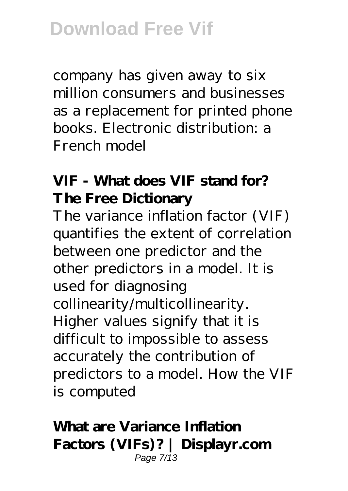company has given away to six million consumers and businesses as a replacement for printed phone books. Electronic distribution: a French model

### **VIF - What does VIF stand for? The Free Dictionary**

The variance inflation factor (VIF) quantifies the extent of correlation between one predictor and the other predictors in a model. It is used for diagnosing collinearity/multicollinearity. Higher values signify that it is difficult to impossible to assess accurately the contribution of predictors to a model. How the VIF is computed

#### **What are Variance Inflation Factors (VIFs)? | Displayr.com** Page 7/13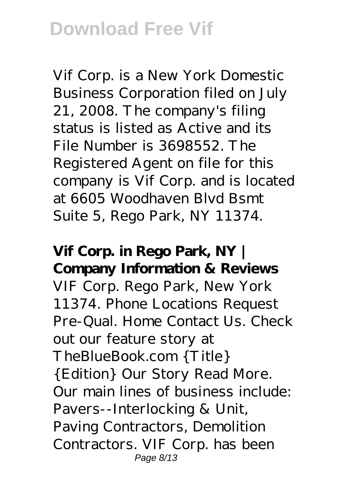Vif Corp. is a New York Domestic Business Corporation filed on July 21, 2008. The company's filing status is listed as Active and its File Number is 3698552. The Registered Agent on file for this company is Vif Corp. and is located at 6605 Woodhaven Blvd Bsmt Suite 5, Rego Park, NY 11374.

**Vif Corp. in Rego Park, NY | Company Information & Reviews** VIF Corp. Rego Park, New York 11374. Phone Locations Request Pre-Qual. Home Contact Us. Check out our feature story at TheBlueBook.com {Title} {Edition} Our Story Read More. Our main lines of business include: Pavers--Interlocking & Unit, Paving Contractors, Demolition Contractors. VIF Corp. has been Page 8/13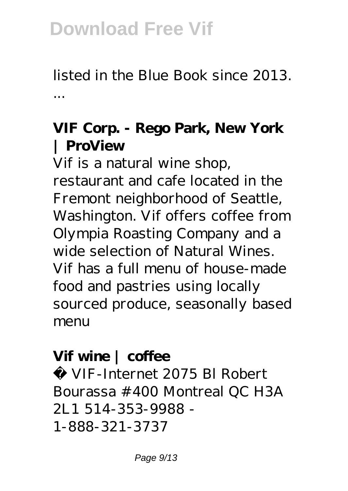listed in the Blue Book since 2013. ...

#### **VIF Corp. - Rego Park, New York | ProView**

Vif is a natural wine shop, restaurant and cafe located in the Fremont neighborhood of Seattle, Washington. Vif offers coffee from Olympia Roasting Company and a wide selection of Natural Wines. Vif has a full menu of house-made food and pastries using locally sourced produce, seasonally based menu

### **Vif wine | coffee**

© VIF-Internet 2075 Bl Robert Bourassa #400 Montreal QC H3A 2L1 514-353-9988 - 1-888-321-3737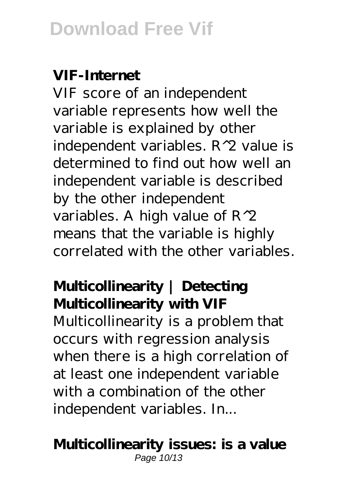#### **VIF-Internet**

VIF score of an independent variable represents how well the variable is explained by other independent variables. R^2 value is determined to find out how well an independent variable is described by the other independent variables. A high value of R^2 means that the variable is highly correlated with the other variables.

### **Multicollinearity | Detecting Multicollinearity with VIF**

Multicollinearity is a problem that occurs with regression analysis when there is a high correlation of at least one independent variable with a combination of the other independent variables. In...

#### **Multicollinearity issues: is a value** Page 10/13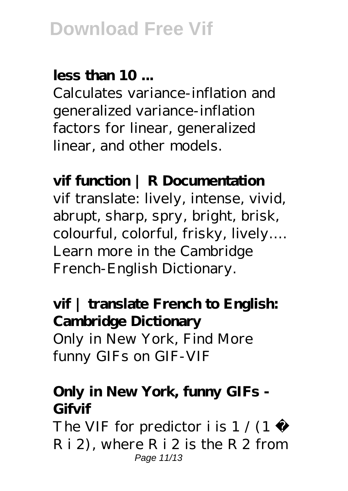### **less than 10 ...**

Calculates variance-inflation and generalized variance-inflation factors for linear, generalized linear, and other models.

### **vif function | R Documentation**

vif translate: lively, intense, vivid, abrupt, sharp, spry, bright, brisk, colourful, colorful, frisky, lively…. Learn more in the Cambridge French-English Dictionary.

### **vif | translate French to English: Cambridge Dictionary** Only in New York, Find More funny GIFs on GIF-VIF

### **Only in New York, funny GIFs - Gifvif**

The VIF for predictor i is  $1/(1 -$ R i 2), where R i 2 is the R 2 from Page 11/13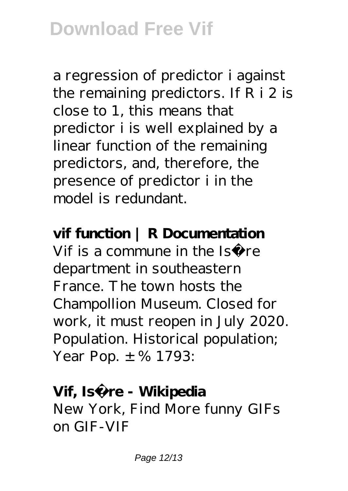a regression of predictor i against the remaining predictors. If R i 2 is close to 1, this means that predictor i is well explained by a linear function of the remaining predictors, and, therefore, the presence of predictor i in the model is redundant.

#### **vif function | R Documentation**

Vif is a commune in the Isère department in southeastern France. The town hosts the Champollion Museum. Closed for work, it must reopen in July 2020. Population. Historical population; Year Pop.  $\pm$  % 1793:

#### Vif, Isère - Wikipedia

New York, Find More funny GIFs on GIF-VIF